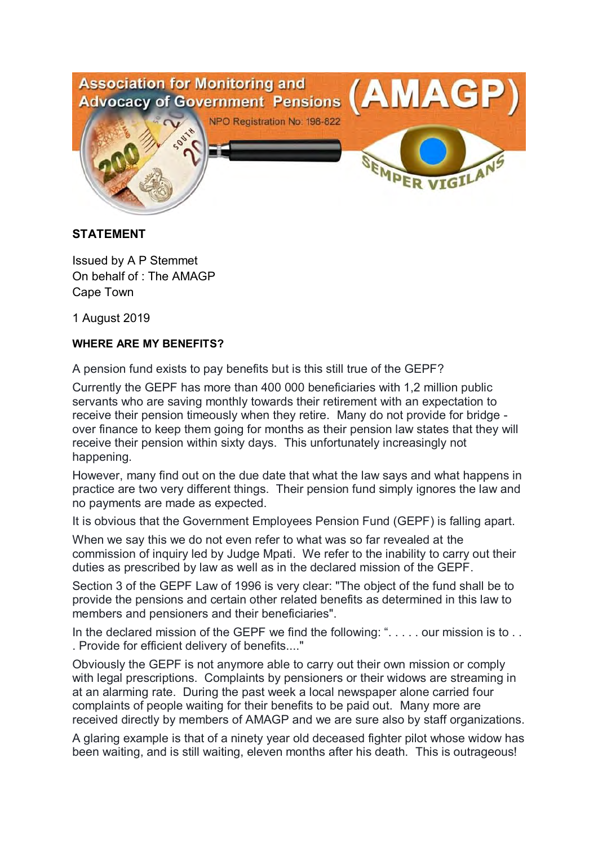

## **STATEMENT**

Issued by A P Stemmet On behalf of : The AMAGP Cape Town

1 August 2019

## **WHERE ARE MY BENEFITS?**

A pension fund exists to pay benefits but is this still true of the GEPF?

Currently the GEPF has more than 400 000 beneficiaries with 1,2 million public servants who are saving monthly towards their retirement with an expectation to receive their pension timeously when they retire. Many do not provide for bridge over finance to keep them going for months as their pension law states that they will receive their pension within sixty days. This unfortunately increasingly not happening.

However, many find out on the due date that what the law says and what happens in practice are two very different things. Their pension fund simply ignores the law and no payments are made as expected.

It is obvious that the Government Employees Pension Fund (GEPF) is falling apart.

When we say this we do not even refer to what was so far revealed at the commission of inquiry led by Judge Mpati. We refer to the inability to carry out their duties as prescribed by law as well as in the declared mission of the GEPF.

Section 3 of the GEPF Law of 1996 is very clear: "The object of the fund shall be to provide the pensions and certain other related benefits as determined in this law to members and pensioners and their beneficiaries".

In the declared mission of the GEPF we find the following: ". . . . . our mission is to . . . Provide for efficient delivery of benefits...."

Obviously the GEPF is not anymore able to carry out their own mission or comply with legal prescriptions. Complaints by pensioners or their widows are streaming in at an alarming rate. During the past week a local newspaper alone carried four complaints of people waiting for their benefits to be paid out. Many more are received directly by members of AMAGP and we are sure also by staff organizations.

A glaring example is that of a ninety year old deceased fighter pilot whose widow has been waiting, and is still waiting, eleven months after his death. This is outrageous!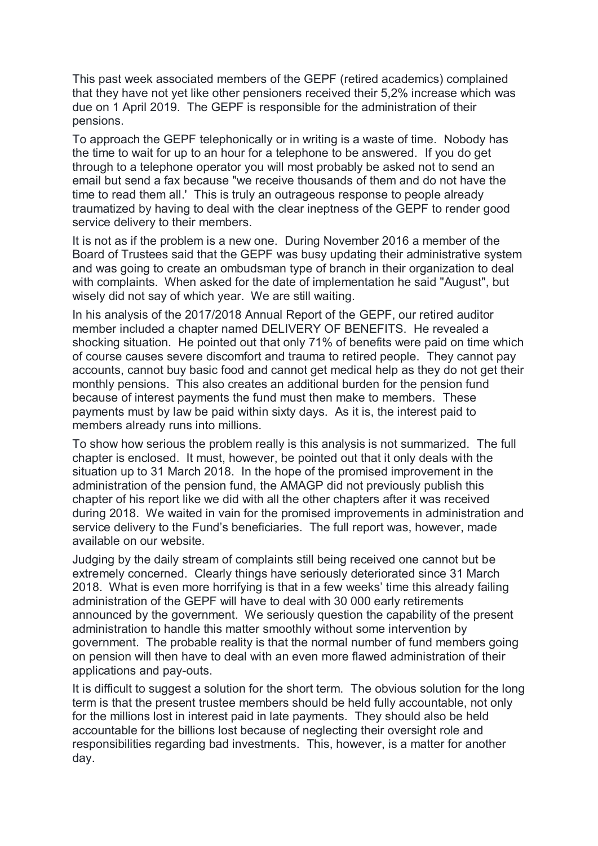This past week associated members of the GEPF (retired academics) complained that they have not yet like other pensioners received their 5,2% increase which was due on 1 April 2019. The GEPF is responsible for the administration of their pensions.

To approach the GEPF telephonically or in writing is a waste of time. Nobody has the time to wait for up to an hour for a telephone to be answered. If you do get through to a telephone operator you will most probably be asked not to send an email but send a fax because "we receive thousands of them and do not have the time to read them all.' This is truly an outrageous response to people already traumatized by having to deal with the clear ineptness of the GEPF to render good service delivery to their members.

It is not as if the problem is a new one. During November 2016 a member of the Board of Trustees said that the GEPF was busy updating their administrative system and was going to create an ombudsman type of branch in their organization to deal with complaints. When asked for the date of implementation he said "August", but wisely did not say of which year. We are still waiting.

In his analysis of the 2017/2018 Annual Report of the GEPF, our retired auditor member included a chapter named DELIVERY OF BENEFITS. He revealed a shocking situation. He pointed out that only 71% of benefits were paid on time which of course causes severe discomfort and trauma to retired people. They cannot pay accounts, cannot buy basic food and cannot get medical help as they do not get their monthly pensions. This also creates an additional burden for the pension fund because of interest payments the fund must then make to members. These payments must by law be paid within sixty days. As it is, the interest paid to members already runs into millions.

To show how serious the problem really is this analysis is not summarized. The full chapter is enclosed. It must, however, be pointed out that it only deals with the situation up to 31 March 2018. In the hope of the promised improvement in the administration of the pension fund, the AMAGP did not previously publish this chapter of his report like we did with all the other chapters after it was received during 2018. We waited in vain for the promised improvements in administration and service delivery to the Fund's beneficiaries. The full report was, however, made available on our website.

Judging by the daily stream of complaints still being received one cannot but be extremely concerned. Clearly things have seriously deteriorated since 31 March 2018. What is even more horrifying is that in a few weeks' time this already failing administration of the GEPF will have to deal with 30 000 early retirements announced by the government. We seriously question the capability of the present administration to handle this matter smoothly without some intervention by government. The probable reality is that the normal number of fund members going on pension will then have to deal with an even more flawed administration of their applications and pay-outs.

It is difficult to suggest a solution for the short term. The obvious solution for the long term is that the present trustee members should be held fully accountable, not only for the millions lost in interest paid in late payments. They should also be held accountable for the billions lost because of neglecting their oversight role and responsibilities regarding bad investments. This, however, is a matter for another day.